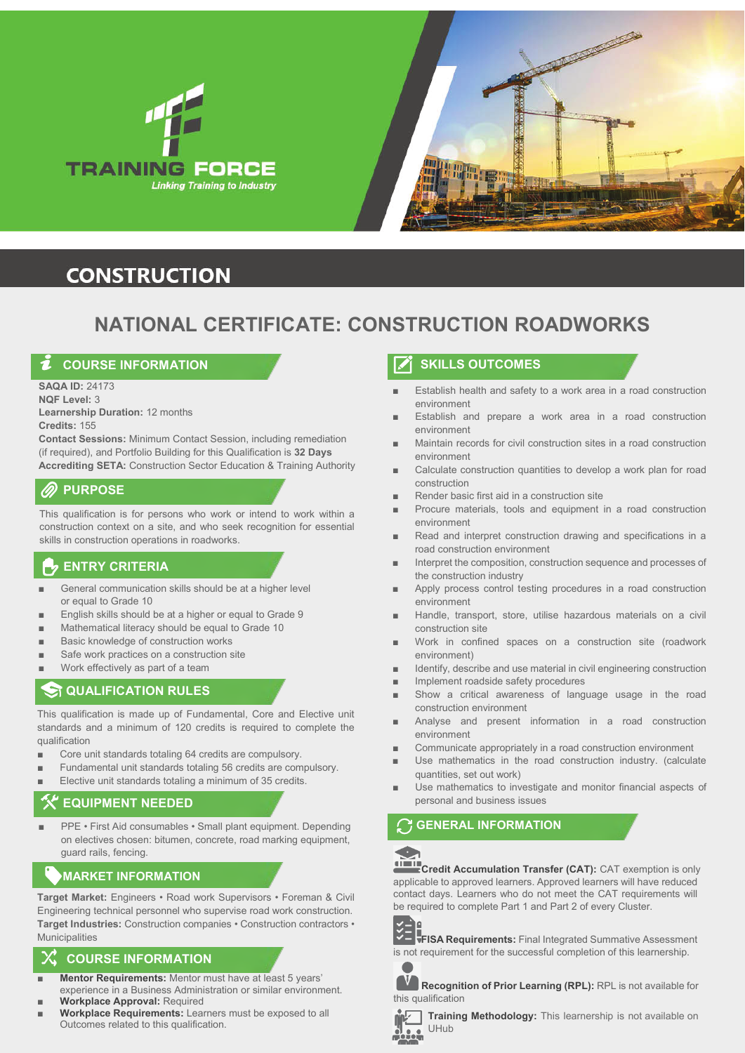



# **CONSTRUCTION**

# **NATIONAL CERTIFICATE: CONSTRUCTION ROADWORKS**

### **COURSE INFORMATION**

**SAQA ID:** 24173 **NQF Level:** 3 **Learnership Duration:** 12 months **Credits:** 155

**Contact Sessions:** Minimum Contact Session, including remediation (if required), and Portfolio Building for this Qualification is **32 Days Accrediting SETA:** Construction Sector Education & Training Authority

### **PURPOSE**

This qualification is for persons who work or intend to work within a construction context on a site, and who seek recognition for essential skills in construction operations in roadworks.

## **ENTRY CRITERIA**

- General communication skills should be at a higher level or equal to Grade 10
- English skills should be at a higher or equal to Grade 9
- Mathematical literacy should be equal to Grade 10
- Basic knowledge of construction works
- Safe work practices on a construction site
- Work effectively as part of a team

## **QUALIFICATION RULES**

This qualification is made up of Fundamental, Core and Elective unit standards and a minimum of 120 credits is required to complete the qualification

- Core unit standards totaling 64 credits are compulsory.
- Fundamental unit standards totaling 56 credits are compulsory.
- Elective unit standards totaling a minimum of 35 credits.

## **K** EQUIPMENT NEEDED

PPE • First Aid consumables • Small plant equipment. Depending on electives chosen: bitumen, concrete, road marking equipment, guard rails, fencing.

### **MARKET INFORMATION**

**Target Market:** Engineers • Road work Supervisors • Foreman & Civil Engineering technical personnel who supervise road work construction. **Target Industries:** Construction companies • Construction contractors • Municipalities

## **COURSE INFORMATION**

- **Mentor Requirements:** Mentor must have at least 5 years' experience in a Business Administration or similar environment. **Workplace Approval: Required**
- **Workplace Requirements:** Learners must be exposed to all Outcomes related to this qualification.

## **SKILLS OUTCOMES**

- Establish health and safety to a work area in a road construction environment
- Establish and prepare a work area in a road construction environment
- Maintain records for civil construction sites in a road construction environment
- Calculate construction quantities to develop a work plan for road construction
- Render basic first aid in a construction site
- Procure materials, tools and equipment in a road construction environment
- Read and interpret construction drawing and specifications in a road construction environment
- Interpret the composition, construction sequence and processes of the construction industry
- Apply process control testing procedures in a road construction environment
- Handle, transport, store, utilise hazardous materials on a civil construction site
- Work in confined spaces on a construction site (roadwork environment)
- Identify, describe and use material in civil engineering construction
- Implement roadside safety procedures
- Show a critical awareness of language usage in the road construction environment
- Analyse and present information in a road construction environment
- Communicate appropriately in a road construction environment
- Use mathematics in the road construction industry. (calculate quantities, set out work) ■
- Use mathematics to investigate and monitor financial aspects of personal and business issues ■

### **GENERAL INFORMATION**

## $\bullet$

**Credit Accumulation Transfer (CAT):** CAT exemption is only applicable to approved learners. Approved learners will have reduced contact days. Learners who do not meet the CAT requirements will be required to complete Part 1 and Part 2 of every Cluster.



**FISA Requirements:** Final Integrated Summative Assessment is not requirement for the successful completion of this learnership.



**Recognition of Prior Learning (RPL):** RPL is not available for this qualification



**Training Methodology:** This learnership is not available on UHub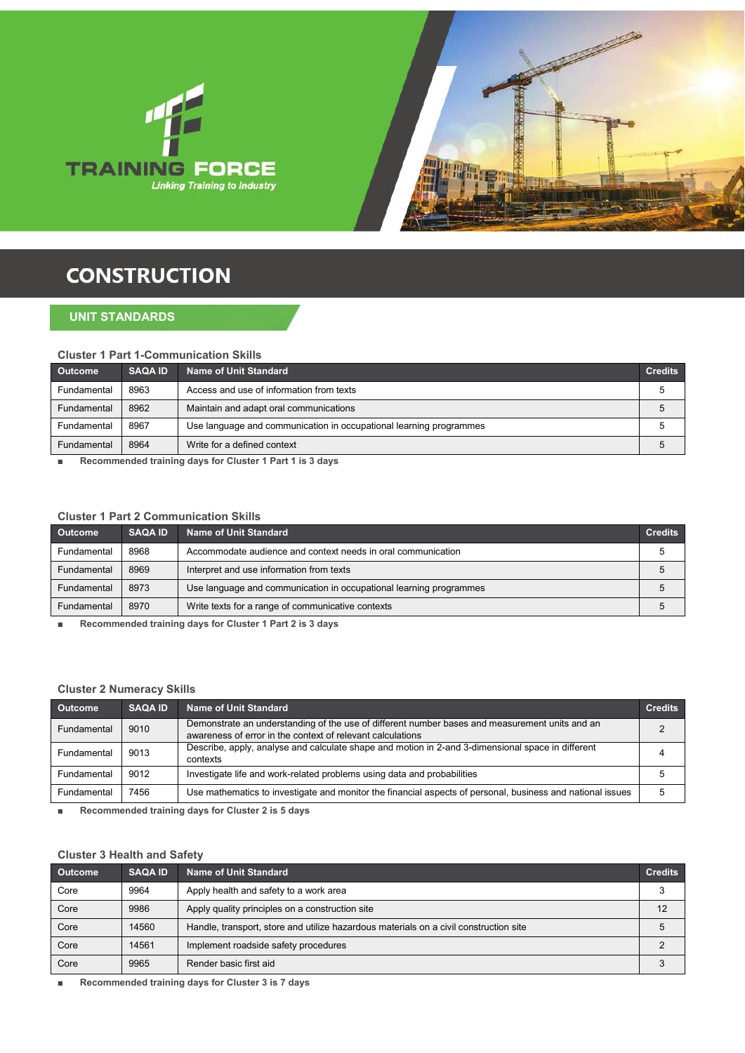



# **CONSTRUCTION**

### **UNIT STANDARDS**

### **Cluster 1 Part 1-Communication Skills**

| <b>Outcome</b> | <b>SAQA ID</b> | Name of Unit Standard                                              | <b>Credits</b> |
|----------------|----------------|--------------------------------------------------------------------|----------------|
| Fundamental    | 8963           | Access and use of information from texts                           |                |
| Fundamental    | 8962           | Maintain and adapt oral communications                             |                |
| Fundamental    | 8967           | Use language and communication in occupational learning programmes |                |
| Fundamental    | 8964           | Write for a defined context                                        |                |

■ **Recommended training days for Cluster 1 Part 1 is 3 days**

#### **Cluster 1 Part 2 Communication Skills**

| <b>Outcome</b> | <b>SAQA ID</b> | Name of Unit Standard                                              | <b>Credits</b> |
|----------------|----------------|--------------------------------------------------------------------|----------------|
| Fundamental    | 8968           | Accommodate audience and context needs in oral communication       |                |
| Fundamental    | 8969           | Interpret and use information from texts                           |                |
| Fundamental    | 8973           | Use language and communication in occupational learning programmes |                |
| Fundamental    | 8970           | Write texts for a range of communicative contexts                  |                |

■ **Recommended training days for Cluster 1 Part 2 is 3 days**

#### **Cluster 2 Numeracy Skills**

| <b>Outcome</b> | <b>SAQA ID</b> | <b>Name of Unit Standard</b>                                                                                                                                 | <b>Credits</b> |
|----------------|----------------|--------------------------------------------------------------------------------------------------------------------------------------------------------------|----------------|
| Fundamental    | 9010           | Demonstrate an understanding of the use of different number bases and measurement units and an<br>awareness of error in the context of relevant calculations |                |
| Fundamental    | 9013           | Describe, apply, analyse and calculate shape and motion in 2-and 3-dimensional space in different<br>contexts                                                |                |
| Fundamental    | 9012           | Investigate life and work-related problems using data and probabilities                                                                                      |                |
| Fundamental    | 7456           | Use mathematics to investigate and monitor the financial aspects of personal, business and national issues                                                   | 5              |
|                |                |                                                                                                                                                              |                |

■ **Recommended training days for Cluster 2 is 5 days**

### **Cluster 3 Health and Safety**

| <b>Outcome</b> | <b>SAQA ID</b> | Name of Unit Standard                                                                 | <b>Credits</b> |
|----------------|----------------|---------------------------------------------------------------------------------------|----------------|
| Core           | 9964           | Apply health and safety to a work area                                                |                |
| Core           | 9986           | Apply quality principles on a construction site                                       |                |
| Core           | 14560          | Handle, transport, store and utilize hazardous materials on a civil construction site |                |
| Core           | 14561          | Implement roadside safety procedures                                                  |                |
| Core           | 9965           | Render basic first aid                                                                |                |

■ **Recommended training days for Cluster 3 is 7 days**